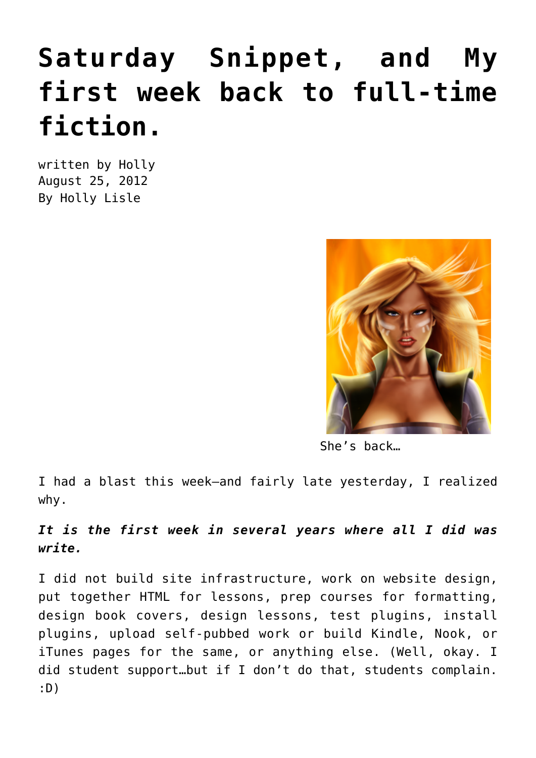## **[Saturday Snippet, and My](https://hollylisle.com/saturday-snippet-and-my-first-week-back-to-full-time-fiction/) [first week back to full-time](https://hollylisle.com/saturday-snippet-and-my-first-week-back-to-full-time-fiction/) [fiction.](https://hollylisle.com/saturday-snippet-and-my-first-week-back-to-full-time-fiction/)**

written by Holly August 25, 2012 [By Holly Lisle](https://hollylisle.com)



She's back…

I had a blast this week—and fairly late yesterday, I realized why.

## *It is the first week in several years where all I did was write.*

I did not build site infrastructure, work on website design, put together HTML for lessons, prep courses for formatting, design book covers, design lessons, test plugins, install plugins, upload self-pubbed work or build Kindle, Nook, or iTunes pages for the same, or anything else. (Well, okay. I did student support…but if I don't do that, students complain. :D)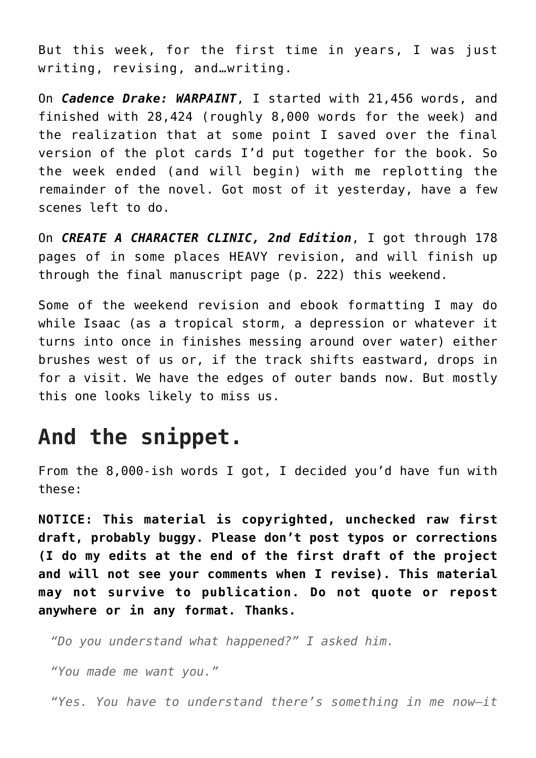But this week, for the first time in years, I was just writing, revising, and…writing.

On *Cadence Drake: WARPAINT*, I started with 21,456 words, and finished with 28,424 (roughly 8,000 words for the week) and the realization that at some point I saved over the final version of the plot cards I'd put together for the book. So the week ended (and will begin) with me replotting the remainder of the novel. Got most of it yesterday, have a few scenes left to do.

On *CREATE A CHARACTER CLINIC, 2nd Edition*, I got through 178 pages of in some places HEAVY revision, and will finish up through the final manuscript page (p. 222) this weekend.

Some of the weekend revision and ebook formatting I may do while Isaac (as a tropical storm, a depression or whatever it turns into once in finishes messing around over water) either brushes west of us or, if the track shifts eastward, drops in for a visit. We have the edges of outer bands now. But mostly this one looks likely to miss us.

## **And the snippet.**

From the 8,000-ish words I got, I decided you'd have fun with these:

**NOTICE: This material is copyrighted, unchecked raw first draft, probably buggy. Please don't post typos or corrections (I do my edits at the end of the first draft of the project and will not see your comments when I revise). This material may not survive to publication. Do not quote or repost anywhere or in any format. Thanks.**

*"Do you understand what happened?" I asked him.*

*"You made me want you."*

*"Yes. You have to understand there's something in me now—it*